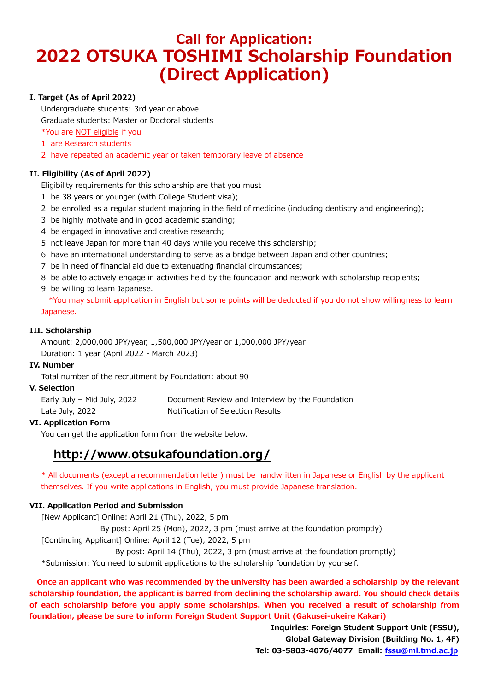# **Call for Application: 2022 OTSUKA TOSHIMI Scholarship Foundation (Direct Application)**

### **I. Target (As of April 2022)**

Undergraduate students: 3rd year or above

Graduate students: Master or Doctoral students

\*You are NOT eligible if you

- 1. are Research students
- 2. have repeated an academic year or taken temporary leave of absence

### **II. Eligibility (As of April 2022)**

Eligibility requirements for this scholarship are that you must

- 1. be 38 years or younger (with College Student visa);
- 2. be enrolled as a regular student majoring in the field of medicine (including dentistry and engineering);
- 3. be highly motivate and in good academic standing;
- 4. be engaged in innovative and creative research;
- 5. not leave Japan for more than 40 days while you receive this scholarship;
- 6. have an international understanding to serve as a bridge between Japan and other countries;
- 7. be in need of financial aid due to extenuating financial circumstances;
- 8. be able to actively engage in activities held by the foundation and network with scholarship recipients;
- 9. be willing to learn Japanese.

\*You may submit application in English but some points will be deducted if you do not show willingness to learn Japanese.

### **III. Scholarship**

Amount: 2,000,000 JPY/year, 1,500,000 JPY/year or 1,000,000 JPY/year Duration: 1 year (April 2022 - March 2023)

### **IV. Number**

Total number of the recruitment by Foundation: about 90

### **V. Selection**

| Early July - Mid July, 2022 | Document Review and Interview by the Foundation |
|-----------------------------|-------------------------------------------------|
| Late July, 2022             | Notification of Selection Results               |

### **VI. Application Form**

You can get the application form from the website below.

## **http://www.otsukafoundation.org/**

\* All documents (except a recommendation letter) must be handwritten in Japanese or English by the applicant themselves. If you write applications in English, you must provide Japanese translation.

### **VII. Application Period and Submission**

[New Applicant] Online: April 21 (Thu), 2022, 5 pm By post: April 25 (Mon), 2022, 3 pm (must arrive at the foundation promptly)

[Continuing Applicant] Online: April 12 (Tue), 2022, 5 pm

By post: April 14 (Thu), 2022, 3 pm (must arrive at the foundation promptly)

\*Submission: You need to submit applications to the scholarship foundation by yourself.

 **Once an applicant who was recommended by the university has been awarded a scholarship by the relevant scholarship foundation, the applicant is barred from declining the scholarship award. You should check details of each scholarship before you apply some scholarships. When you received a result of scholarship from foundation, please be sure to inform Foreign Student Support Unit (Gakusei-ukeire Kakari)**

> **Inquiries: Foreign Student Support Unit (FSSU), Global Gateway Division (Building No. 1, 4F) Tel: 03-5803-4076/4077 Email: [fssu@ml.tmd.ac.jp](mailto:fssu@ml.tmd.ac.jp)**